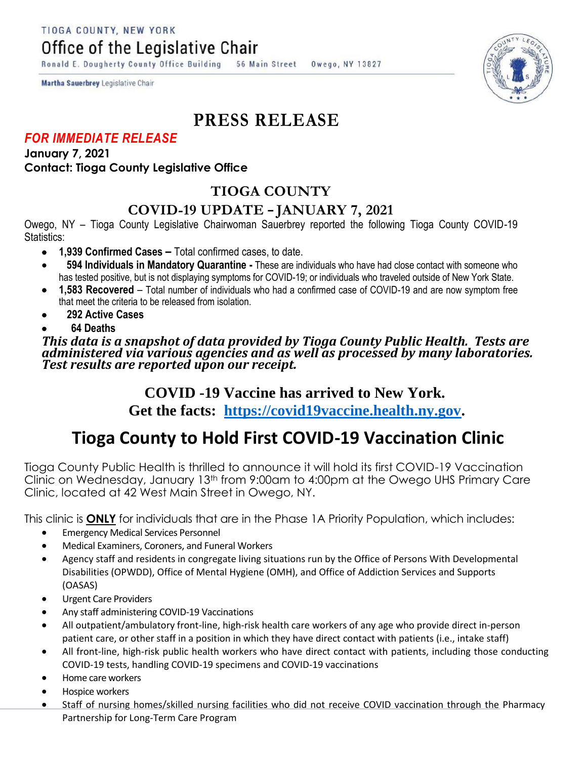TIOGA COUNTY, NEW YORK

Office of the Legislative Chair

Ronald E. Dougherty County Office Building 56 Main Street Owego, NY 13827

**Martha Sauerbrey Legislative Chair** 

## **PRESS RELEASE**

#### *FOR IMMEDIATE RELEASE*

**January 7, 2021 Contact: Tioga County Legislative Office**

## **TIOGA COUNTY**

### **COVID-19 UPDATE – JANUARY 7, 2021**

Owego, NY – Tioga County Legislative Chairwoman Sauerbrey reported the following Tioga County COVID-19 Statistics:

- **1,939 Confirmed Cases –** Total confirmed cases, to date.
- **594 Individuals in Mandatory Quarantine -** These are individuals who have had close contact with someone who has tested positive, but is not displaying symptoms for COVID-19; or individuals who traveled outside of New York State.
- **1,583 Recovered**  Total number of individuals who had a confirmed case of COVID-19 and are now symptom free that meet the criteria to be released from isolation.
- **292 Active Cases**
- **64 Deaths**

*This data is a snapshot of data provided by Tioga County Public Health. Tests are administered via various agencies and as well as processed by many laboratories. Test results are reported upon our receipt.* 

#### **COVID -19 Vaccine has arrived to New York. Get the facts: [https://covid19vaccine.health.ny.gov.](https://covid19vaccine.health.ny.gov/)**

# **Tioga County to Hold First COVID-19 Vaccination Clinic**

Tioga County Public Health is thrilled to announce it will hold its first COVID-19 Vaccination Clinic on Wednesday, January 13th from 9:00am to 4:00pm at the Owego UHS Primary Care Clinic, located at 42 West Main Street in Owego, NY.

This clinic is **ONLY** for individuals that are in the Phase 1A Priority Population, which includes:

- **•** Emergency Medical Services Personnel
- Medical Examiners, Coroners, and Funeral Workers
- Agency staff and residents in congregate living situations run by the Office of Persons With Developmental Disabilities (OPWDD), Office of Mental Hygiene (OMH), and Office of Addiction Services and Supports (OASAS)
- Urgent Care Providers
- Any staff administering COVID-19 Vaccinations
- All outpatient/ambulatory front-line, high-risk health care workers of any age who provide direct in-person patient care, or other staff in a position in which they have direct contact with patients (i.e., intake staff)
- All front-line, high-risk public health workers who have direct contact with patients, including those conducting COVID-19 tests, handling COVID-19 specimens and COVID-19 vaccinations
- Home care workers
- **•** Hospice workers
- Staff of nursing homes/skilled nursing facilities who did not receive COVID vaccination through the Pharmacy Partnership for Long-Term Care Program